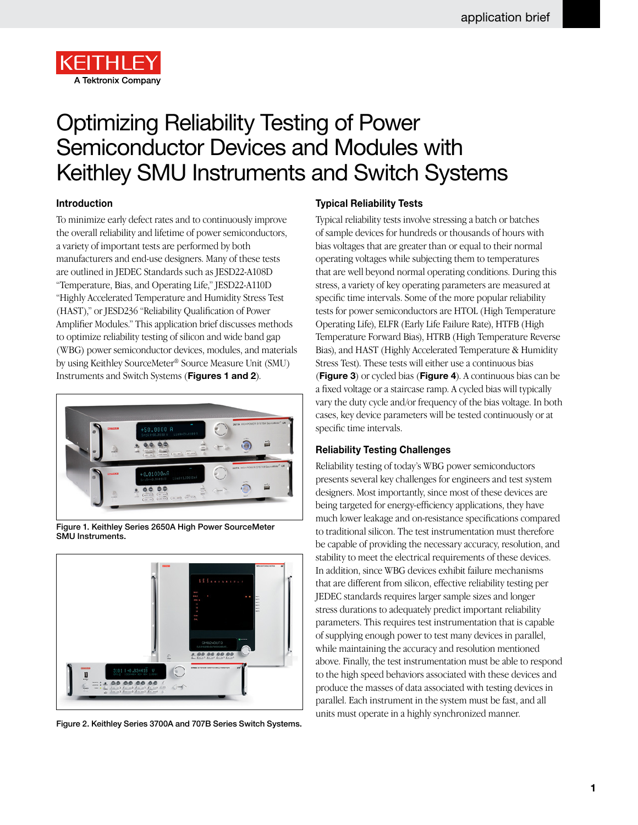

# Optimizing Reliability Testing of Power Semiconductor Devices and Modules with Keithley SMU Instruments and Switch Systems

## **Introduction**

To minimize early defect rates and to continuously improve the overall reliability and lifetime of power semiconductors, a variety of important tests are performed by both manufacturers and end-use designers. Many of these tests are outlined in JEDEC Standards such as JESD22-A108D "Temperature, Bias, and Operating Life," JESD22-A110D "Highly Accelerated Temperature and Humidity Stress Test (HAST)," or JESD236 "Reliability Qualification of Power Amplifier Modules." This application brief discusses methods to optimize reliability testing of silicon and wide band gap (WBG) power semiconductor devices, modules, and materials by using Keithley SourceMeter® Source Measure Unit (SMU) Instruments and Switch Systems (**Figures 1 and 2**).



Figure 1. Keithley Series 2650A High Power SourceMeter SMU Instruments.



Figure 2. Keithley Series 3700A and 707B Series Switch Systems.

## **Typical Reliability Tests**

Typical reliability tests involve stressing a batch or batches of sample devices for hundreds or thousands of hours with bias voltages that are greater than or equal to their normal operating voltages while subjecting them to temperatures that are well beyond normal operating conditions. During this stress, a variety of key operating parameters are measured at specific time intervals. Some of the more popular reliability tests for power semiconductors are HTOL (High Temperature Operating Life), ELFR (Early Life Failure Rate), HTFB (High Temperature Forward Bias), HTRB (High Temperature Reverse Bias), and HAST (Highly Accelerated Temperature & Humidity Stress Test). These tests will either use a continuous bias (**Figure 3**) or cycled bias (**Figure 4**). A continuous bias can be a fixed voltage or a staircase ramp. A cycled bias will typically vary the duty cycle and/or frequency of the bias voltage. In both cases, key device parameters will be tested continuously or at specific time intervals.

### **Reliability Testing Challenges**

Reliability testing of today's WBG power semiconductors presents several key challenges for engineers and test system designers. Most importantly, since most of these devices are being targeted for energy-efficiency applications, they have much lower leakage and on-resistance specifications compared to traditional silicon. The test instrumentation must therefore be capable of providing the necessary accuracy, resolution, and stability to meet the electrical requirements of these devices. In addition, since WBG devices exhibit failure mechanisms that are different from silicon, effective reliability testing per JEDEC standards requires larger sample sizes and longer stress durations to adequately predict important reliability parameters. This requires test instrumentation that is capable of supplying enough power to test many devices in parallel, while maintaining the accuracy and resolution mentioned above. Finally, the test instrumentation must be able to respond to the high speed behaviors associated with these devices and produce the masses of data associated with testing devices in parallel. Each instrument in the system must be fast, and all units must operate in a highly synchronized manner.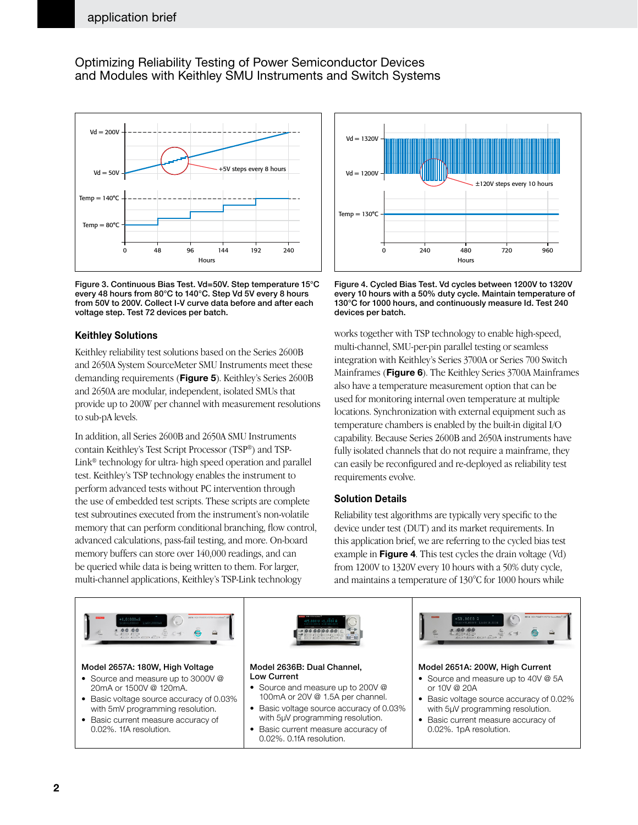## Optimizing Reliability Testing of Power Semiconductor Devices and Modules with Keithley SMU Instruments and Switch Systems



Figure 3. Continuous Bias Test. Vd=50V. Step temperature 15°C every 48 hours from 80°C to 140°C. Step Vd 5V every 8 hours from 50V to 200V. Collect I-V curve data before and after each voltage step. Test 72 devices per batch.

## **Keithley Solutions**

Keithley reliability test solutions based on the Series 2600B and 2650A System SourceMeter SMU Instruments meet these demanding requirements (**Figure 5**). Keithley's Series 2600B and 2650A are modular, independent, isolated SMUs that provide up to 200W per channel with measurement resolutions to sub-pA levels.

In addition, all Series 2600B and 2650A SMU Instruments contain Keithley's Test Script Processor (TSP®) and TSP-Link® technology for ultra- high speed operation and parallel test. Keithley's TSP technology enables the instrument to perform advanced tests without PC intervention through the use of embedded test scripts. These scripts are complete test subroutines executed from the instrument's non-volatile memory that can perform conditional branching, flow control, advanced calculations, pass-fail testing, and more. On-board memory buffers can store over 140,000 readings, and can be queried while data is being written to them. For larger, multi-channel applications, Keithley's TSP-Link technology



Figure 4. Cycled Bias Test. Vd cycles between 1200V to 1320V every 10 hours with a 50% duty cycle. Maintain temperature of 130°C for 1000 hours, and continuously measure Id. Test 240 devices per batch.

works together with TSP technology to enable high-speed, multi-channel, SMU-per-pin parallel testing or seamless integration with Keithley's Series 3700A or Series 700 Switch Mainframes (**Figure 6**). The Keithley Series 3700A Mainframes also have a temperature measurement option that can be used for monitoring internal oven temperature at multiple locations. Synchronization with external equipment such as temperature chambers is enabled by the built-in digital I/O capability. Because Series 2600B and 2650A instruments have fully isolated channels that do not require a mainframe, they can easily be reconfigured and re-deployed as reliability test requirements evolve.

### **Solution Details**

Reliability test algorithms are typically very specific to the device under test (DUT) and its market requirements. In this application brief, we are referring to the cycled bias test example in **Figure 4**. This test cycles the drain voltage (Vd) from 1200V to 1320V every 10 hours with a 50% duty cycle, and maintains a temperature of 130°C for 1000 hours while

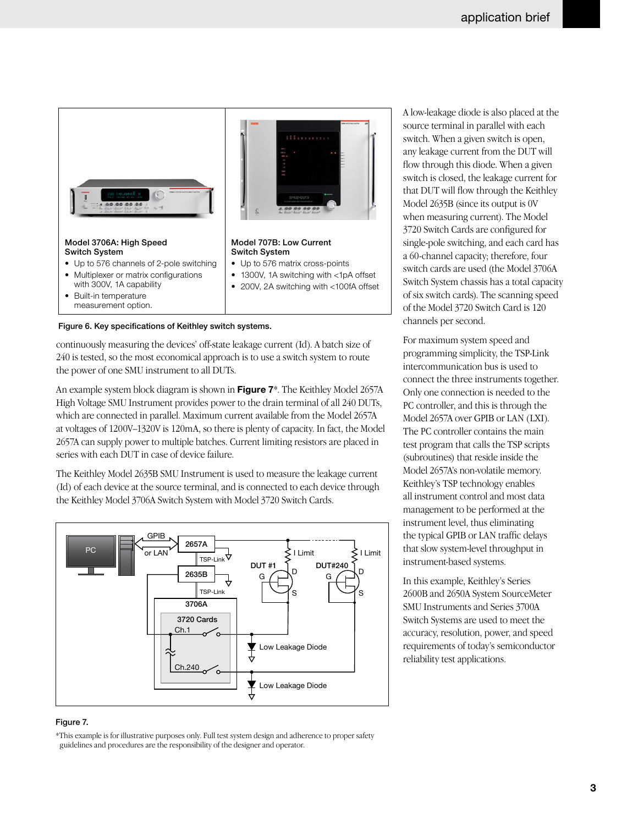

Figure 6. Key specifications of Keithley switch systems.

continuously measuring the devices' off-state leakage current (Id). A batch size of 240 is tested, so the most economical approach is to use a switch system to route the power of one SMU instrument to all DUTs.

An example system block diagram is shown in **Figure 7**\*. The Keithley Model 2657A High Voltage SMU Instrument provides power to the drain terminal of all 240 DUTs, which are connected in parallel. Maximum current available from the Model 2657A at voltages of 1200V–1320V is 120mA, so there is plenty of capacity. In fact, the Model 2657A can supply power to multiple batches. Current limiting resistors are placed in series with each DUT in case of device failure.

The Keithley Model 2635B SMU Instrument is used to measure the leakage current (Id) of each device at the source terminal, and is connected to each device through the Keithley Model 3706A Switch System with Model 3720 Switch Cards.



#### Figure 7.

\*This example is for illustrative purposes only. Full test system design and adherence to proper safety guidelines and procedures are the responsibility of the designer and operator.

A low-leakage diode is also placed at the source terminal in parallel with each switch. When a given switch is open, any leakage current from the DUT will flow through this diode. When a given switch is closed, the leakage current for that DUT will flow through the Keithley Model 2635B (since its output is 0V when measuring current). The Model 3720 Switch Cards are configured for single-pole switching, and each card has a 60-channel capacity; therefore, four switch cards are used (the Model 3706A Switch System chassis has a total capacity of six switch cards). The scanning speed of the Model 3720 Switch Card is 120 channels per second.

For maximum system speed and programming simplicity, the TSP-Link intercommunication bus is used to connect the three instruments together. Only one connection is needed to the PC controller, and this is through the Model 2657A over GPIB or LAN (LXI). The PC controller contains the main test program that calls the TSP scripts (subroutines) that reside inside the Model 2657A's non-volatile memory. Keithley's TSP technology enables all instrument control and most data management to be performed at the instrument level, thus eliminating the typical GPIB or LAN traffic delays that slow system-level throughput in instrument-based systems.

In this example, Keithley's Series 2600B and 2650A System SourceMeter SMU Instruments and Series 3700A Switch Systems are used to meet the accuracy, resolution, power, and speed requirements of today's semiconductor reliability test applications.